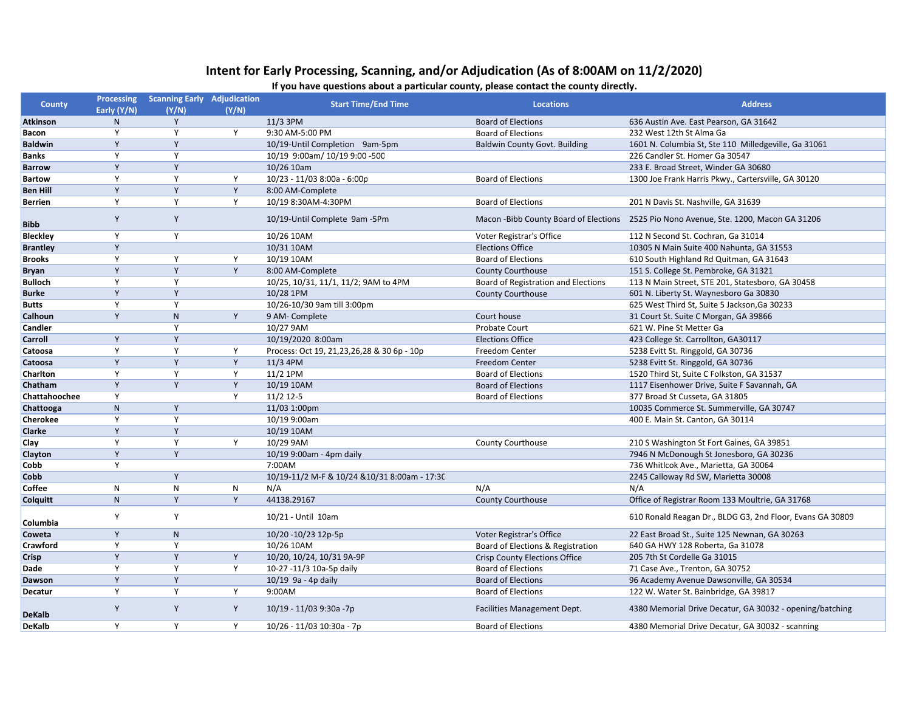## **Intent for Early Processing, Scanning, and/or Adjudication (As of 8:00AM on 11/2/2020)**

## **If you have questions about a particular county, please contact the county directly.**

| <b>County</b>   |              | Processing Scanning Early Adjudication |       |                                               | <b>Locations</b>                     | <b>Address</b>                                                                        |
|-----------------|--------------|----------------------------------------|-------|-----------------------------------------------|--------------------------------------|---------------------------------------------------------------------------------------|
|                 | Early (Y/N)  | (Y/N)                                  | (Y/N) | <b>Start Time/End Time</b>                    |                                      |                                                                                       |
| <b>Atkinson</b> | N            | Y                                      |       | 11/3 3PM                                      | <b>Board of Elections</b>            | 636 Austin Ave. East Pearson, GA 31642                                                |
| Bacon           | Y            | Y                                      | Y     | 9:30 AM-5:00 PM                               | <b>Board of Elections</b>            | 232 West 12th St Alma Ga                                                              |
| <b>Baldwin</b>  | Y            | Y                                      |       | 10/19-Until Completion 9am-5pm                | <b>Baldwin County Govt. Building</b> | 1601 N. Columbia St, Ste 110 Milledgeville, Ga 31061                                  |
| <b>Banks</b>    | Y            | Y                                      |       | 10/19 9:00am/ 10/19 9:00 -500                 |                                      | 226 Candler St. Homer Ga 30547                                                        |
| <b>Barrow</b>   | Y            | Y                                      |       | 10/26 10am                                    |                                      | 233 E. Broad Street, Winder GA 30680                                                  |
| <b>Bartow</b>   | Y            | Y                                      | Y     | 10/23 - 11/03 8:00a - 6:00p                   | <b>Board of Elections</b>            | 1300 Joe Frank Harris Pkwy., Cartersville, GA 30120                                   |
| <b>Ben Hill</b> | Y            | Y                                      | Y     | 8:00 AM-Complete                              |                                      |                                                                                       |
| <b>Berrien</b>  | Y            | Y                                      | Y     | 10/19 8:30AM-4:30PM                           | <b>Board of Elections</b>            | 201 N Davis St. Nashville, GA 31639                                                   |
| <b>Bibb</b>     | Y            | Y                                      |       | 10/19-Until Complete 9am -5Pm                 |                                      | Macon -Bibb County Board of Elections 2525 Pio Nono Avenue, Ste. 1200, Macon GA 31206 |
| <b>Bleckley</b> | Y            | Y                                      |       | 10/26 10AM                                    | Voter Registrar's Office             | 112 N Second St. Cochran, Ga 31014                                                    |
| <b>Brantley</b> | Y            |                                        |       | 10/31 10AM                                    | <b>Elections Office</b>              | 10305 N Main Suite 400 Nahunta, GA 31553                                              |
| <b>Brooks</b>   | Y            | Y                                      | Y     | 10/19 10AM                                    | <b>Board of Elections</b>            | 610 South Highland Rd Quitman, GA 31643                                               |
| <b>Bryan</b>    | Y            | Y                                      | Y     | 8:00 AM-Complete                              | <b>County Courthouse</b>             | 151 S. College St. Pembroke, GA 31321                                                 |
| <b>Bulloch</b>  | Y            | Y                                      |       | 10/25, 10/31, 11/1, 11/2; 9AM to 4PM          | Board of Registration and Elections  | 113 N Main Street, STE 201, Statesboro, GA 30458                                      |
| <b>Burke</b>    | Y            | Y                                      |       | 10/28 1PM                                     | County Courthouse                    | 601 N. Liberty St. Waynesboro Ga 30830                                                |
| <b>Butts</b>    | Y            | Y                                      |       | 10/26-10/30 9am till 3:00pm                   |                                      | 625 West Third St, Suite 5 Jackson, Ga 30233                                          |
| Calhoun         | Y            | $\mathsf{N}$                           | Y     | 9 AM-Complete                                 | Court house                          | 31 Court St. Suite C Morgan, GA 39866                                                 |
| Candler         |              | Y                                      |       | 10/27 9AM                                     | Probate Court                        | 621 W. Pine St Metter Ga                                                              |
| Carroll         | Y            | Y                                      |       | 10/19/2020 8:00am                             | <b>Elections Office</b>              | 423 College St. Carrollton, GA30117                                                   |
| Catoosa         | Y            | Y                                      | Y     | Process: Oct 19, 21, 23, 26, 28 & 30 6p - 10p | <b>Freedom Center</b>                | 5238 Evitt St. Ringgold, GA 30736                                                     |
| Catoosa         | Y            | Y                                      | Y     | $11/3$ 4PM                                    | Freedom Center                       | 5238 Evitt St. Ringgold, GA 30736                                                     |
| Charlton        | Y            | Y                                      | Υ     | 11/2 1PM                                      | <b>Board of Elections</b>            | 1520 Third St, Suite C Folkston, GA 31537                                             |
| Chatham         | Y            | Y                                      | Y     | 10/19 10AM                                    | <b>Board of Elections</b>            | 1117 Eisenhower Drive, Suite F Savannah, GA                                           |
| Chattahoochee   | Y            |                                        | Y     | $11/2$ 12-5                                   | Board of Elections                   | 377 Broad St Cusseta, GA 31805                                                        |
| Chattooga       | $\mathsf{N}$ | Y                                      |       | 11/03 1:00pm                                  |                                      | 10035 Commerce St. Summerville, GA 30747                                              |
| <b>Cherokee</b> | Y            | Y                                      |       | 10/19 9:00am                                  |                                      | 400 E. Main St. Canton, GA 30114                                                      |
| <b>Clarke</b>   | Y            | Y                                      |       | 10/19 10AM                                    |                                      |                                                                                       |
| <b>Clay</b>     | Y            | Y                                      | Y     | 10/29 9AM                                     | <b>County Courthouse</b>             | 210 S Washington St Fort Gaines, GA 39851                                             |
| Clayton         | Y            | Y                                      |       | 10/19 9:00am - 4pm daily                      |                                      | 7946 N McDonough St Jonesboro, GA 30236                                               |
| Cobb            | Y            |                                        |       | 7:00AM                                        |                                      | 736 Whitlcok Ave., Marietta, GA 30064                                                 |
| Cobb            |              | Y                                      |       | 10/19-11/2 M-F & 10/24 & 10/31 8:00am - 17:30 |                                      | 2245 Calloway Rd SW, Marietta 30008                                                   |
| Coffee          | ${\sf N}$    | $\mathsf{N}$                           | N     | N/A                                           | N/A                                  | N/A                                                                                   |
| Colquitt        | $\mathsf{N}$ | Y                                      | Y     | 44138.29167                                   | <b>County Courthouse</b>             | Office of Registrar Room 133 Moultrie, GA 31768                                       |
| Columbia        | Y            | Y                                      |       | 10/21 - Until 10am                            |                                      | 610 Ronald Reagan Dr., BLDG G3, 2nd Floor, Evans GA 30809                             |
| Coweta          | Y            | ${\sf N}$                              |       | 10/20 -10/23 12p-5p                           | Voter Registrar's Office             | 22 East Broad St., Suite 125 Newnan, GA 30263                                         |
| Crawford        | Y            | Y                                      |       | 10/26 10AM                                    | Board of Elections & Registration    | 640 GA HWY 128 Roberta, Ga 31078                                                      |
| Crisp           | Y            | Y                                      | Y     | 10/20, 10/24, 10/31 9A-9P                     | <b>Crisp County Elections Office</b> | 205 7th St Cordelle Ga 31015                                                          |
| Dade            | Y            | Y                                      | Y     | 10-27 -11/3 10a-5p daily                      | <b>Board of Elections</b>            | 71 Case Ave., Trenton, GA 30752                                                       |
| Dawson          | Y            | Y                                      |       | 10/19 9a - 4p daily                           | <b>Board of Elections</b>            | 96 Academy Avenue Dawsonville, GA 30534                                               |
| <b>Decatur</b>  | Y            | Y                                      | Y     | 9:00AM                                        | <b>Board of Elections</b>            | 122 W. Water St. Bainbridge, GA 39817                                                 |
| <b>DeKalb</b>   | Y            | Y                                      | Y     | 10/19 - 11/03 9:30a -7p                       | Facilities Management Dept.          | 4380 Memorial Drive Decatur, GA 30032 - opening/batching                              |
| <b>DeKalb</b>   | Y            | Y                                      | Y     | 10/26 - 11/03 10:30a - 7p                     | <b>Board of Elections</b>            | 4380 Memorial Drive Decatur, GA 30032 - scanning                                      |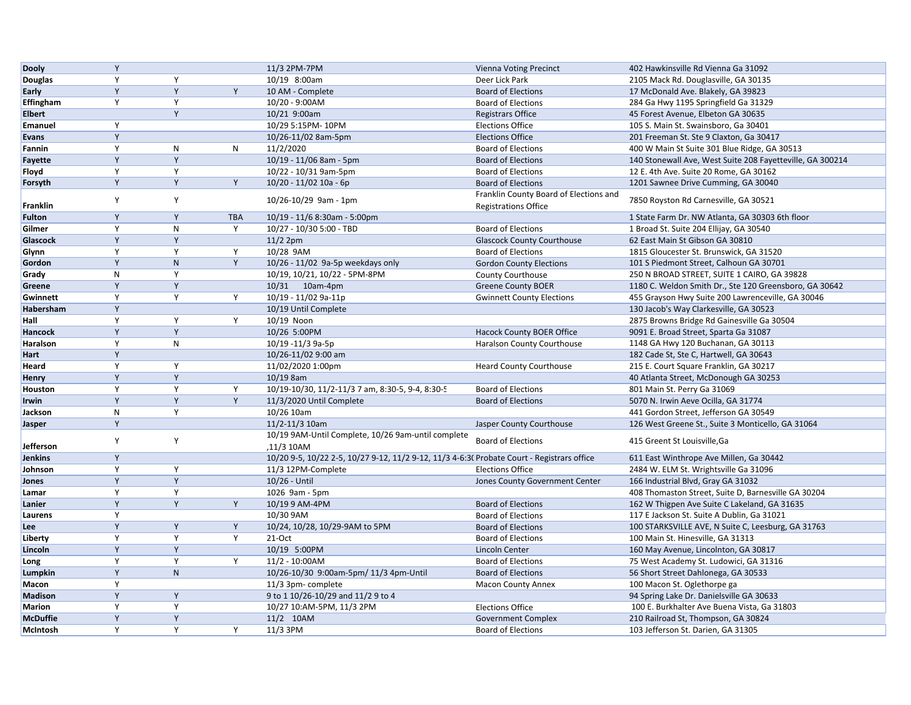| <b>Dooly</b>     | Y              |              |            | 11/3 2PM-7PM                                                                               | <b>Vienna Voting Precinct</b>          | 402 Hawkinsville Rd Vienna Ga 31092                                                     |
|------------------|----------------|--------------|------------|--------------------------------------------------------------------------------------------|----------------------------------------|-----------------------------------------------------------------------------------------|
| Douglas          | Y              | Y            |            | 10/19 8:00am                                                                               | Deer Lick Park                         | 2105 Mack Rd. Douglasville, GA 30135                                                    |
| Early            | Y              | Y            | Y          | 10 AM - Complete                                                                           | <b>Board of Elections</b>              | 17 McDonald Ave. Blakely, GA 39823                                                      |
| <b>Effingham</b> | Y              | Y            |            | 10/20 - 9:00AM                                                                             | <b>Board of Elections</b>              | 284 Ga Hwy 1195 Springfield Ga 31329                                                    |
| <b>Elbert</b>    |                | Y            |            | 10/21 9:00am                                                                               | <b>Registrars Office</b>               | 45 Forest Avenue, Elbeton GA 30635                                                      |
| <b>Emanuel</b>   | Y              |              |            | 10/29 5:15PM-10PM                                                                          | <b>Elections Office</b>                | 105 S. Main St. Swainsboro, Ga 30401                                                    |
| <b>Evans</b>     | Y              |              |            | 10/26-11/02 8am-5pm                                                                        | <b>Elections Office</b>                | 201 Freeman St. Ste 9 Claxton, Ga 30417                                                 |
| Fannin           | Y              | N            | N          | 11/2/2020                                                                                  | <b>Board of Elections</b>              | 400 W Main St Suite 301 Blue Ridge, GA 30513                                            |
| Fayette          | $\mathsf Y$    | Y            |            | 10/19 - 11/06 8am - 5pm                                                                    | <b>Board of Elections</b>              | 140 Stonewall Ave, West Suite 208 Fayetteville, GA 300214                               |
| Floyd            | Y              | Y            |            | 10/22 - 10/31 9am-5pm                                                                      | <b>Board of Elections</b>              | 12 E. 4th Ave. Suite 20 Rome, GA 30162                                                  |
| Forsyth          | Y              | Y            | Y          | 10/20 - 11/02 10a - 6p                                                                     | <b>Board of Elections</b>              | 1201 Sawnee Drive Cumming, GA 30040                                                     |
|                  |                |              |            |                                                                                            | Franklin County Board of Elections and |                                                                                         |
| <b>Franklin</b>  | Y              | Y            |            | 10/26-10/29 9am - 1pm                                                                      | <b>Registrations Office</b>            | 7850 Royston Rd Carnesville, GA 30521                                                   |
| <b>Fulton</b>    | Y              | Y            | <b>TBA</b> | 10/19 - 11/6 8:30am - 5:00pm                                                               |                                        | 1 State Farm Dr. NW Atlanta, GA 30303 6th floor                                         |
| Gilmer           | Y              | N            | Y          | 10/27 - 10/30 5:00 - TBD                                                                   | <b>Board of Elections</b>              | 1 Broad St. Suite 204 Ellijay, GA 30540                                                 |
| Glascock         | Y              | Y            |            | $11/22$ pm                                                                                 | <b>Glascock County Courthouse</b>      | 62 East Main St Gibson GA 30810                                                         |
| Glynn            | Y              | Y            | Y          | 10/28 9AM                                                                                  | <b>Board of Elections</b>              | 1815 Gloucester St. Brunswick, GA 31520                                                 |
| Gordon           | Y              | $\mathsf{N}$ | Y          | 10/26 - 11/02 9a-5p weekdays only                                                          | <b>Gordon County Elections</b>         | 101 S Piedmont Street, Calhoun GA 30701                                                 |
| Grady            | $\mathsf{N}$   | Y            |            | 10/19, 10/21, 10/22 - 5PM-8PM                                                              | County Courthouse                      | 250 N BROAD STREET, SUITE 1 CAIRO, GA 39828                                             |
| Greene           | Y              | Y            |            | 10/31 10am-4pm                                                                             | <b>Greene County BOER</b>              | 1180 C. Weldon Smith Dr., Ste 120 Greensboro, GA 30642                                  |
| Gwinnett         | Y              | Y            | Y          | 10/19 - 11/02 9a-11p                                                                       | <b>Gwinnett County Elections</b>       | 455 Grayson Hwy Suite 200 Lawrenceville, GA 30046                                       |
| Habersham        | Y              |              |            | 10/19 Until Complete                                                                       |                                        | 130 Jacob's Way Clarkesville, GA 30523                                                  |
| Hall             | Y              | Y            | Y          | 10/19 Noon                                                                                 |                                        | 2875 Browns Bridge Rd Gainesville Ga 30504                                              |
| Hancock          | $\mathsf Y$    | Y            |            | 10/26 5:00PM                                                                               | Hacock County BOER Office              | 9091 E. Broad Street, Sparta Ga 31087                                                   |
| Haralson         | Y              | N            |            | 10/19 -11/3 9a-5p                                                                          | Haralson County Courthouse             | 1148 GA Hwy 120 Buchanan, GA 30113                                                      |
| Hart             | Y              |              |            | 10/26-11/02 9:00 am                                                                        |                                        | 182 Cade St, Ste C, Hartwell, GA 30643                                                  |
| Heard            | Y              | Y            |            | 11/02/2020 1:00pm                                                                          | <b>Heard County Courthouse</b>         | 215 E. Court Square Franklin, GA 30217                                                  |
| Henry            | Y              | Y            |            | 10/19 8am                                                                                  |                                        | 40 Atlanta Street, McDonough GA 30253                                                   |
| Houston          | Y              | Y            | Y          | 10/19-10/30, 11/2-11/3 7 am, 8:30-5, 9-4, 8:30-5                                           | <b>Board of Elections</b>              | 801 Main St. Perry Ga 31069                                                             |
| Irwin            | $\overline{Y}$ | Y            | Y          | 11/3/2020 Until Complete                                                                   | <b>Board of Elections</b>              | 5070 N. Irwin Aeve Ocilla, GA 31774                                                     |
| Jackson          | $\mathsf{N}$   | Y            |            | 10/26 10am                                                                                 |                                        | 441 Gordon Street, Jefferson GA 30549                                                   |
| Jasper           | $\mathsf Y$    |              |            | 11/2-11/3 10am                                                                             | Jasper County Courthouse               | 126 West Greene St., Suite 3 Monticello, GA 31064                                       |
|                  |                |              |            | 10/19 9AM-Until Complete, 10/26 9am-until complete                                         |                                        |                                                                                         |
| Jefferson        | Y              | Y            |            | ,11/3 10AM                                                                                 | <b>Board of Elections</b>              | 415 Greent St Louisville, Ga                                                            |
| <b>Jenkins</b>   | Y              |              |            | 10/20 9-5, 10/22 2-5, 10/27 9-12, 11/2 9-12, 11/3 4-6:3( Probate Court - Registrars office |                                        | 611 East Winthrope Ave Millen, Ga 30442                                                 |
| Johnson          | Y              | Y            |            | 11/3 12PM-Complete                                                                         | <b>Elections Office</b>                | 2484 W. ELM St. Wrightsville Ga 31096                                                   |
| Jones            | $\mathsf Y$    | Y            |            | 10/26 - Until                                                                              | Jones County Government Center         | 166 Industrial Blvd, Gray GA 31032                                                      |
| Lamar            | Y              | Y            |            | 1026 9am - 5pm                                                                             |                                        | 408 Thomaston Street, Suite D, Barnesville GA 30204                                     |
| Lanier           | Y              | Y            | Y          | 10/19 9 AM-4PM                                                                             | <b>Board of Elections</b>              | 162 W Thigpen Ave Suite C Lakeland, GA 31635                                            |
| Laurens          | Y              |              |            | 10/30 9AM                                                                                  | <b>Board of Elections</b>              | 117 E Jackson St. Suite A Dublin, Ga 31021                                              |
| Lee              | Y              | Y            | Y          | 10/24, 10/28, 10/29-9AM to 5PM                                                             | <b>Board of Elections</b>              |                                                                                         |
| Liberty          | Y              | Y            | Y          | 21-Oct                                                                                     | <b>Board of Elections</b>              | 100 STARKSVILLE AVE, N Suite C, Leesburg, GA 31763<br>100 Main St. Hinesville, GA 31313 |
|                  | Y              | Y            |            | 10/19 5:00PM                                                                               |                                        |                                                                                         |
| Lincoln          | Y              | Y            | Y          | $11/2 - 10:00AM$                                                                           | Lincoln Center                         | 160 May Avenue, Lincolnton, GA 30817                                                    |
| Long             | Y              | $\mathsf{N}$ |            |                                                                                            | <b>Board of Elections</b>              | 75 West Academy St. Ludowici, GA 31316                                                  |
| Lumpkin          | Y              |              |            | 10/26-10/30 9:00am-5pm/ 11/3 4pm-Until                                                     | <b>Board of Elections</b>              | 56 Short Street Dahlonega, GA 30533                                                     |
| Macon            | Y              | Y            |            | 11/3 3pm-complete                                                                          | <b>Macon County Annex</b>              | 100 Macon St. Oglethorpe ga                                                             |
| <b>Madison</b>   | Y              | Y            |            | 9 to 1 10/26-10/29 and 11/2 9 to 4                                                         |                                        | 94 Spring Lake Dr. Danielsville GA 30633                                                |
| <b>Marion</b>    | Y              | Y            |            | 10/27 10:AM-5PM, 11/3 2PM                                                                  | <b>Elections Office</b>                | 100 E. Burkhalter Ave Buena Vista, Ga 31803                                             |
| <b>McDuffie</b>  |                |              |            | 11/2 10AM                                                                                  | <b>Government Complex</b>              | 210 Railroad St, Thompson, GA 30824                                                     |
| McIntosh         | Y              | Y            | Y          | 11/3 3PM                                                                                   | <b>Board of Elections</b>              | 103 Jefferson St. Darien, GA 31305                                                      |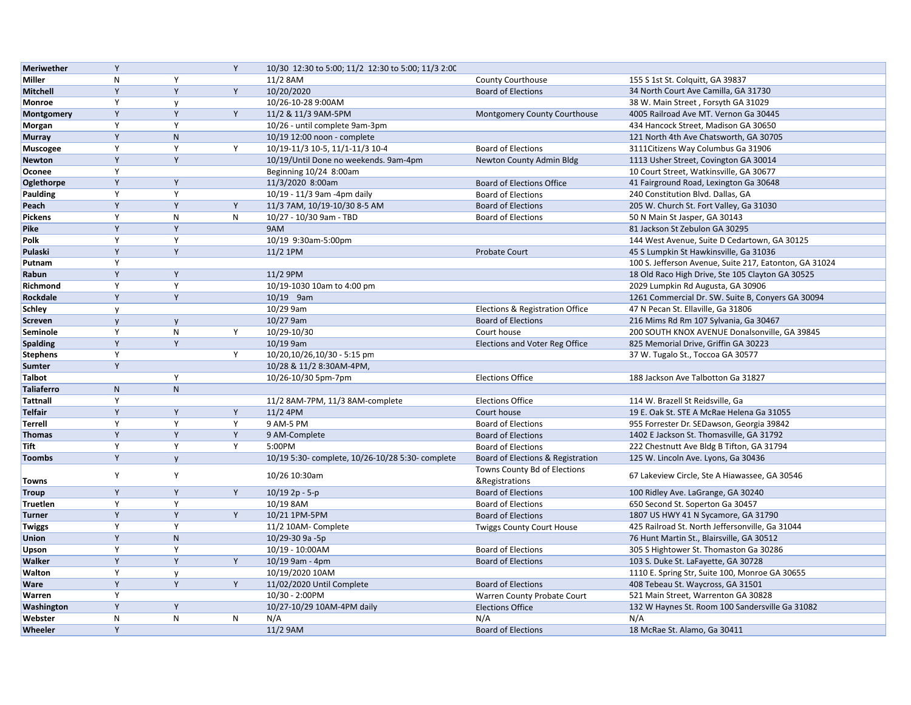| <b>Meriwether</b> | Y              |                           | Y         | 10/30 12:30 to 5:00; 11/2 12:30 to 5:00; 11/3 2:00 |                                   |                                                        |
|-------------------|----------------|---------------------------|-----------|----------------------------------------------------|-----------------------------------|--------------------------------------------------------|
| Miller            | $\mathsf{N}$   | Y                         |           | 11/2 8AM                                           | County Courthouse                 | 155 S 1st St. Colquitt, GA 39837                       |
| Mitchell          | Y              | Y                         | Y         | 10/20/2020                                         | <b>Board of Elections</b>         | 34 North Court Ave Camilla, GA 31730                   |
| Monroe            | Y              | $\mathsf{v}$              |           | 10/26-10-28 9:00AM                                 |                                   | 38 W. Main Street, Forsyth GA 31029                    |
| Montgomery        | Y              | Y                         | Y         | 11/2 & 11/3 9AM-5PM                                | Montgomery County Courthouse      | 4005 Railroad Ave MT. Vernon Ga 30445                  |
| Morgan            | Y              | Y                         |           | 10/26 - until complete 9am-3pm                     |                                   | 434 Hancock Street, Madison GA 30650                   |
| <b>Murray</b>     | Y              | ${\sf N}$                 |           | 10/19 12:00 noon - complete                        |                                   | 121 North 4th Ave Chatsworth, GA 30705                 |
| <b>Muscogee</b>   | Y              | Y                         | Y         | 10/19-11/3 10-5, 11/1-11/3 10-4                    | <b>Board of Elections</b>         | 3111 Citizens Way Columbus Ga 31906                    |
| <b>Newton</b>     | Y              | Y                         |           | 10/19/Until Done no weekends. 9am-4pm              | Newton County Admin Bldg          | 1113 Usher Street, Covington GA 30014                  |
| Oconee            | Y              |                           |           | Beginning 10/24 8:00am                             |                                   | 10 Court Street, Watkinsville, GA 30677                |
| Oglethorpe        | Y              | Y                         |           | 11/3/2020 8:00am                                   | <b>Board of Elections Office</b>  | 41 Fairground Road, Lexington Ga 30648                 |
| Paulding          | Y              | Y                         |           | 10/19 - 11/3 9am -4pm daily                        | <b>Board of Elections</b>         | 240 Constitution Blvd. Dallas, GA                      |
| Peach             | $\overline{Y}$ | Y                         | Y         | 11/3 7AM, 10/19-10/30 8-5 AM                       | <b>Board of Elections</b>         | 205 W. Church St. Fort Valley, Ga 31030                |
| Pickens           | Y              | ${\sf N}$                 | ${\sf N}$ | 10/27 - 10/30 9am - TBD                            | <b>Board of Elections</b>         | 50 N Main St Jasper, GA 30143                          |
| <b>Pike</b>       | Y              | Y                         |           | 9AM                                                |                                   | 81 Jackson St Zebulon GA 30295                         |
| Polk              | Y              | Y                         |           | 10/19 9:30am-5:00pm                                |                                   | 144 West Avenue, Suite D Cedartown, GA 30125           |
| Pulaski           | Y              | Y                         |           | 11/2 1PM                                           | Probate Court                     | 45 S Lumpkin St Hawkinsville, Ga 31036                 |
| Putnam            | Y              |                           |           |                                                    |                                   | 100 S. Jefferson Avenue, Suite 217, Eatonton, GA 31024 |
| Rabun             | Y              | Y                         |           | 11/2 9PM                                           |                                   | 18 Old Raco High Drive, Ste 105 Clayton GA 30525       |
| Richmond          | Y              | Y                         |           | 10/19-1030 10am to 4:00 pm                         |                                   | 2029 Lumpkin Rd Augusta, GA 30906                      |
| Rockdale          | Y              | Y                         |           | 10/19 9am                                          |                                   | 1261 Commercial Dr. SW. Suite B, Conyers GA 30094      |
|                   |                |                           |           | 10/29 9am                                          | Elections & Registration Office   | 47 N Pecan St. Ellaville, Ga 31806                     |
| <b>Schley</b>     | $\mathsf{v}$   |                           |           | 10/27 9am                                          |                                   |                                                        |
| Screven           | $\mathsf{y}$   | $\mathsf{v}$<br>${\sf N}$ | Y         |                                                    | <b>Board of Elections</b>         | 216 Mims Rd Rm 107 Sylvania, Ga 30467                  |
| Seminole          | Y              | $\mathsf{Y}$              |           | 10/29-10/30                                        | Court house                       | 200 SOUTH KNOX AVENUE Donalsonville, GA 39845          |
| <b>Spalding</b>   | $\mathsf Y$    |                           |           | 10/19 9am                                          | Elections and Voter Reg Office    | 825 Memorial Drive, Griffin GA 30223                   |
| <b>Stephens</b>   | Y              |                           | Y         | 10/20,10/26,10/30 - 5:15 pm                        |                                   | 37 W. Tugalo St., Toccoa GA 30577                      |
| Sumter            | Y              |                           |           | 10/28 & 11/2 8:30AM-4PM,                           |                                   |                                                        |
| <b>Talbot</b>     |                | Y                         |           | 10/26-10/30 5pm-7pm                                | <b>Elections Office</b>           | 188 Jackson Ave Talbotton Ga 31827                     |
| <b>Taliaferro</b> | ${\sf N}$      | N.                        |           |                                                    |                                   |                                                        |
| <b>Tattnall</b>   | Y              |                           |           | 11/2 8AM-7PM, 11/3 8AM-complete                    | <b>Elections Office</b>           | 114 W. Brazell St Reidsville, Ga                       |
| Telfair           | $\overline{Y}$ | Y                         | Y         | 11/2 4PM                                           | Court house                       | 19 E. Oak St. STE A McRae Helena Ga 31055              |
| <b>Terrell</b>    | Y              | Y                         | Υ         | 9 AM-5 PM                                          | <b>Board of Elections</b>         | 955 Forrester Dr. SEDawson, Georgia 39842              |
| <b>Thomas</b>     | Y              | Y                         | Y         | 9 AM-Complete                                      | <b>Board of Elections</b>         | 1402 E Jackson St. Thomasville, GA 31792               |
| Tift              | Y              | Y                         | Y         | 5:00PM                                             | <b>Board of Elections</b>         | 222 Chestnutt Ave Bldg B Tifton, GA 31794              |
| <b>Toombs</b>     | Y              | $\mathsf{v}$              |           | 10/19 5:30- complete, 10/26-10/28 5:30- complete   | Board of Elections & Registration | 125 W. Lincoln Ave. Lyons, Ga 30436                    |
|                   | Y              | Υ                         |           | 10/26 10:30am                                      | Towns County Bd of Elections      | 67 Lakeview Circle, Ste A Hiawassee, GA 30546          |
| Towns             |                |                           |           |                                                    | &Registrations                    |                                                        |
| <b>Troup</b>      | Y              | Y                         | Y         | $10/19$ 2p - 5-p                                   | <b>Board of Elections</b>         | 100 Ridley Ave. LaGrange, GA 30240                     |
| Truetlen          | Y              | Y                         |           | 10/19 8AM                                          | <b>Board of Elections</b>         | 650 Second St. Soperton Ga 30457                       |
| <b>Turner</b>     | Y              | Y                         | Y         | 10/21 1PM-5PM                                      | <b>Board of Elections</b>         | 1807 US HWY 41 N Sycamore, GA 31790                    |
| Twiggs            | Y              | Y                         |           | 11/2 10AM- Complete                                | <b>Twiggs County Court House</b>  | 425 Railroad St. North Jeffersonville, Ga 31044        |
| Union             | Y              | $\overline{N}$            |           | 10/29-30 9a -5p                                    |                                   | 76 Hunt Martin St., Blairsville, GA 30512              |
| Upson             | Y              | Y                         |           | 10/19 - 10:00AM                                    | <b>Board of Elections</b>         | 305 S Hightower St. Thomaston Ga 30286                 |
| Walker            | Y              | Y                         | Y         | 10/19 9am - 4pm                                    | <b>Board of Elections</b>         | 103 S. Duke St. LaFayette, GA 30728                    |
| Walton            | Y              | y                         |           | 10/19/2020 10AM                                    |                                   | 1110 E. Spring Str, Suite 100, Monroe GA 30655         |
| <b>Ware</b>       | Y              | Y                         | Y         | 11/02/2020 Until Complete                          | <b>Board of Elections</b>         | 408 Tebeau St. Waycross, GA 31501                      |
| Warren            | Y              |                           |           | 10/30 - 2:00PM                                     | Warren County Probate Court       | 521 Main Street, Warrenton GA 30828                    |
| Washington        | Y              | Y                         |           | 10/27-10/29 10AM-4PM daily                         | <b>Elections Office</b>           | 132 W Haynes St. Room 100 Sandersville Ga 31082        |
| Webster           | $\mathsf{N}$   | N                         | N         | N/A                                                | N/A                               | N/A                                                    |
| Wheeler           | Y              |                           |           | 11/2 9AM                                           | <b>Board of Elections</b>         | 18 McRae St. Alamo, Ga 30411                           |